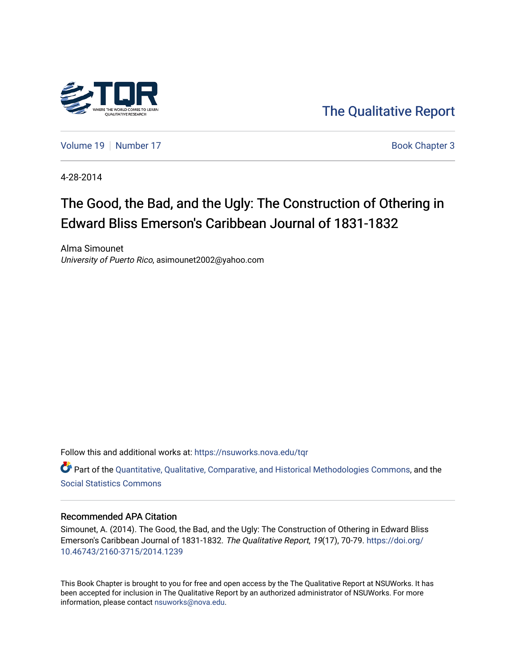

[The Qualitative Report](https://nsuworks.nova.edu/tqr) 

[Volume 19](https://nsuworks.nova.edu/tqr/vol19) [Number 17](https://nsuworks.nova.edu/tqr/vol19/iss17) Book Chapter 3

4-28-2014

# The Good, the Bad, and the Ugly: The Construction of Othering in Edward Bliss Emerson's Caribbean Journal of 1831-1832

Alma Simounet University of Puerto Rico, asimounet2002@yahoo.com

Follow this and additional works at: [https://nsuworks.nova.edu/tqr](https://nsuworks.nova.edu/tqr?utm_source=nsuworks.nova.edu%2Ftqr%2Fvol19%2Fiss17%2F3&utm_medium=PDF&utm_campaign=PDFCoverPages) 

Part of the [Quantitative, Qualitative, Comparative, and Historical Methodologies Commons,](http://network.bepress.com/hgg/discipline/423?utm_source=nsuworks.nova.edu%2Ftqr%2Fvol19%2Fiss17%2F3&utm_medium=PDF&utm_campaign=PDFCoverPages) and the [Social Statistics Commons](http://network.bepress.com/hgg/discipline/1275?utm_source=nsuworks.nova.edu%2Ftqr%2Fvol19%2Fiss17%2F3&utm_medium=PDF&utm_campaign=PDFCoverPages) 

# Recommended APA Citation

Simounet, A. (2014). The Good, the Bad, and the Ugly: The Construction of Othering in Edward Bliss Emerson's Caribbean Journal of 1831-1832. The Qualitative Report, 19(17), 70-79. [https://doi.org/](https://doi.org/10.46743/2160-3715/2014.1239) [10.46743/2160-3715/2014.1239](https://doi.org/10.46743/2160-3715/2014.1239)

This Book Chapter is brought to you for free and open access by the The Qualitative Report at NSUWorks. It has been accepted for inclusion in The Qualitative Report by an authorized administrator of NSUWorks. For more information, please contact [nsuworks@nova.edu.](mailto:nsuworks@nova.edu)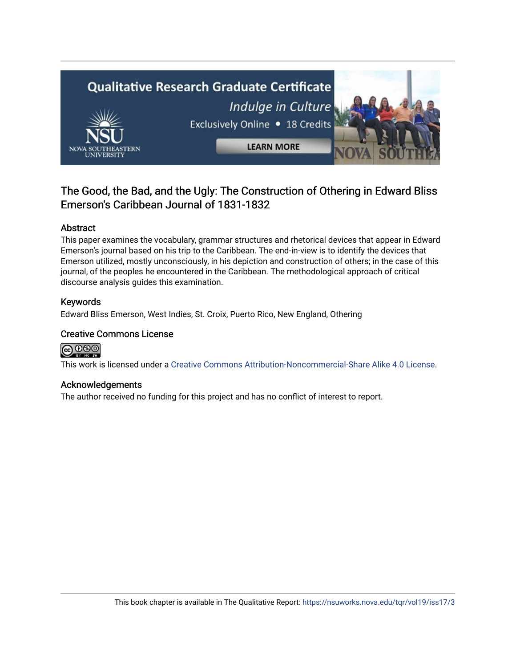

# The Good, the Bad, and the Ugly: The Construction of Othering in Edward Bliss Emerson's Caribbean Journal of 1831-1832

# Abstract

This paper examines the vocabulary, grammar structures and rhetorical devices that appear in Edward Emerson's journal based on his trip to the Caribbean. The end-in-view is to identify the devices that Emerson utilized, mostly unconsciously, in his depiction and construction of others; in the case of this journal, of the peoples he encountered in the Caribbean. The methodological approach of critical discourse analysis guides this examination.

# Keywords

Edward Bliss Emerson, West Indies, St. Croix, Puerto Rico, New England, Othering

# Creative Commons License



This work is licensed under a [Creative Commons Attribution-Noncommercial-Share Alike 4.0 License](https://creativecommons.org/licenses/by-nc-sa/4.0/).

# Acknowledgements

The author received no funding for this project and has no conflict of interest to report.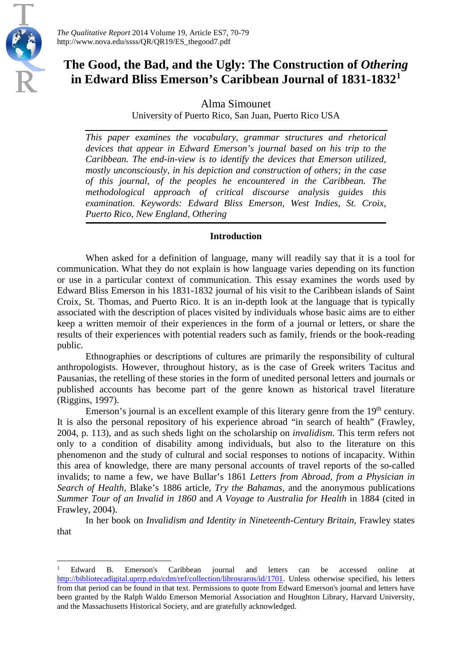

 $\overline{a}$ 

*The Qualitative Report* 2014 Volume 19, Article ES7, 70-79 http://www.nova.edu/ssss/QR/QR19/ES\_thegood7.pdf

# The Good, the Bad, and the Ugly: The Construction of *Othering* **in Edward Bliss Emerson's Caribbean Journal of 1831-1832[1](#page-2-0)**

Alma Simounet

University of Puerto Rico, San Juan, Puerto Rico USA

*This paper examines the vocabulary, grammar structures and rhetorical devices that appear in Edward Emerson's journal based on his trip to the Caribbean. The end-in-view is to identify the devices that Emerson utilized, mostly unconsciously, in his depiction and construction of others; in the case of this journal, of the peoples he encountered in the Caribbean. The methodological approach of critical discourse analysis guides this examination. Keywords: Edward Bliss Emerson, West Indies, St. Croix, Puerto Rico, New England, Othering*

# **Introduction**

When asked for a definition of language, many will readily say that it is a tool for communication. What they do not explain is how language varies depending on its function or use in a particular context of communication. This essay examines the words used by Edward Bliss Emerson in his 1831-1832 journal of his visit to the Caribbean islands of Saint Croix, St. Thomas, and Puerto Rico. It is an in-depth look at the language that is typically associated with the description of places visited by individuals whose basic aims are to either keep a written memoir of their experiences in the form of a journal or letters, or share the results of their experiences with potential readers such as family, friends or the book-reading public.

Ethnographies or descriptions of cultures are primarily the responsibility of cultural anthropologists. However, throughout history, as is the case of Greek writers Tacitus and Pausanias, the retelling of these stories in the form of unedited personal letters and journals or published accounts has become part of the genre known as historical travel literature (Riggins, 1997).

Emerson's journal is an excellent example of this literary genre from the 19<sup>th</sup> century. It is also the personal repository of his experience abroad "in search of health" (Frawley, 2004, p. 113), and as such sheds light on the scholarship on *invalidism*. This term refers not only to a condition of disability among individuals, but also to the literature on this phenomenon and the study of cultural and social responses to notions of incapacity. Within this area of knowledge, there are many personal accounts of travel reports of the so-called invalids; to name a few, we have Bullar's 1861 *Letters from Abroad, from a Physician in Search of Health,* Blake's 1886 article, *Try the Bahamas*, and the anonymous publications *Summer Tour of an Invalid in 1860* and *A Voyage to Australia for Health* in 1884 (cited in Frawley, 2004).

In her book on *Invalidism and Identity in Nineteenth-Century Britain*, Frawley states that

<span id="page-2-0"></span><sup>1</sup> Edward B. Emerson's Caribbean journal and letters can be accessed online at [http://bibliotecadigital.uprrp.edu/cdm/ref/collection/librosraros/id/1701.](http://bibliotecadigital.uprrp.edu/cdm/ref/collection/librosraros/id/1701) Unless otherwise specified, his letters from that period can be found in that text. Permissions to quote from Edward Emerson's journal and letters have been granted by the Ralph Waldo Emerson Memorial Association and Houghton Library, Harvard University, and the Massachusetts Historical Society, and are gratefully acknowledged.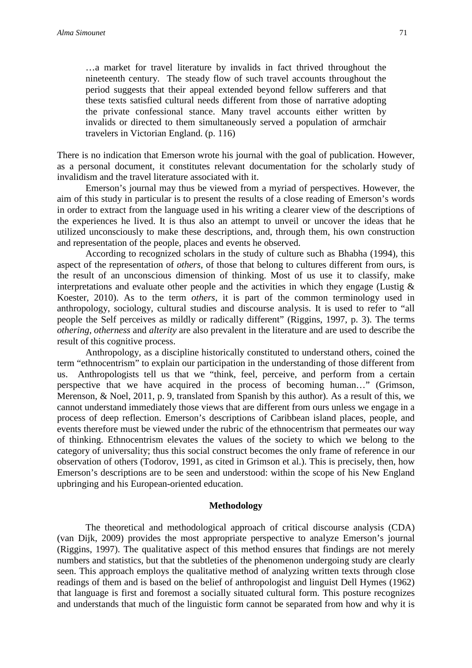…a market for travel literature by invalids in fact thrived throughout the nineteenth century. The steady flow of such travel accounts throughout the period suggests that their appeal extended beyond fellow sufferers and that these texts satisfied cultural needs different from those of narrative adopting the private confessional stance. Many travel accounts either written by invalids or directed to them simultaneously served a population of armchair travelers in Victorian England. (p. 116)

There is no indication that Emerson wrote his journal with the goal of publication. However, as a personal document, it constitutes relevant documentation for the scholarly study of invalidism and the travel literature associated with it.

Emerson's journal may thus be viewed from a myriad of perspectives. However, the aim of this study in particular is to present the results of a close reading of Emerson's words in order to extract from the language used in his writing a clearer view of the descriptions of the experiences he lived. It is thus also an attempt to unveil or uncover the ideas that he utilized unconsciously to make these descriptions, and, through them, his own construction and representation of the people, places and events he observed.

According to recognized scholars in the study of culture such as Bhabha (1994), this aspect of the representation of *others*, of those that belong to cultures different from ours, is the result of an unconscious dimension of thinking. Most of us use it to classify, make interpretations and evaluate other people and the activities in which they engage (Lustig  $\&$ Koester, 2010). As to the term *others*, it is part of the common terminology used in anthropology, sociology, cultural studies and discourse analysis. It is used to refer to "all people the Self perceives as mildly or radically different" (Riggins, 1997, p. 3). The terms *othering*, *otherness* and *alterity* are also prevalent in the literature and are used to describe the result of this cognitive process.

Anthropology, as a discipline historically constituted to understand others, coined the term "ethnocentrism" to explain our participation in the understanding of those different from us. Anthropologists tell us that we "think, feel, perceive, and perform from a certain perspective that we have acquired in the process of becoming human…" (Grimson, Merenson, & Noel, 2011, p. 9, translated from Spanish by this author). As a result of this, we cannot understand immediately those views that are different from ours unless we engage in a process of deep reflection. Emerson's descriptions of Caribbean island places, people, and events therefore must be viewed under the rubric of the ethnocentrism that permeates our way of thinking. Ethnocentrism elevates the values of the society to which we belong to the category of universality; thus this social construct becomes the only frame of reference in our observation of others (Todorov, 1991, as cited in Grimson et al.). This is precisely, then, how Emerson's descriptions are to be seen and understood: within the scope of his New England upbringing and his European-oriented education.

#### **Methodology**

The theoretical and methodological approach of critical discourse analysis (CDA) (van Dijk, 2009) provides the most appropriate perspective to analyze Emerson's journal (Riggins, 1997). The qualitative aspect of this method ensures that findings are not merely numbers and statistics, but that the subtleties of the phenomenon undergoing study are clearly seen. This approach employs the qualitative method of analyzing written texts through close readings of them and is based on the belief of anthropologist and linguist Dell Hymes (1962) that language is first and foremost a socially situated cultural form. This posture recognizes and understands that much of the linguistic form cannot be separated from how and why it is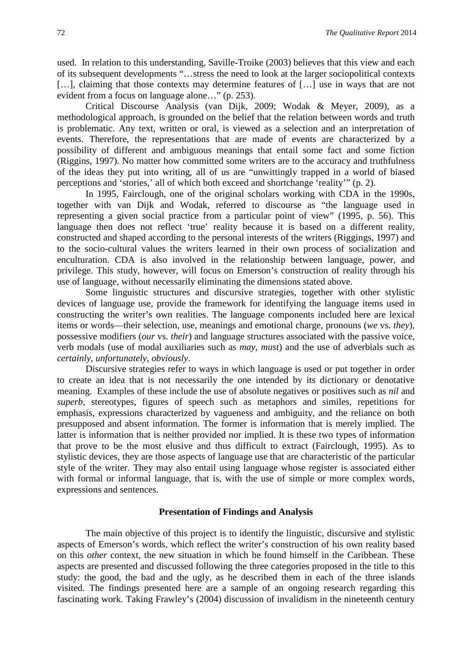used. In relation to this understanding, Saville-Troike (2003) believes that this view and each of its subsequent developments "…stress the need to look at the larger sociopolitical contexts [...], claiming that those contexts may determine features of [...] use in ways that are not evident from a focus on language alone…" (p. 253).

Critical Discourse Analysis (van Dijk, 2009; Wodak & Meyer, 2009), as a methodological approach, is grounded on the belief that the relation between words and truth is problematic. Any text, written or oral, is viewed as a selection and an interpretation of events. Therefore, the representations that are made of events are characterized by a possibility of different and ambiguous meanings that entail some fact and some fiction (Riggins, 1997). No matter how committed some writers are to the accuracy and truthfulness of the ideas they put into writing, all of us are "unwittingly trapped in a world of biased perceptions and 'stories,' all of which both exceed and shortchange 'reality'" (p. 2).

In 1995, Fairclough, one of the original scholars working with CDA in the 1990s, together with van Dijk and Wodak, referred to discourse as "the language used in representing a given social practice from a particular point of view" (1995, p. 56). This language then does not reflect 'true' reality because it is based on a different reality, constructed and shaped according to the personal interests of the writers (Riggings, 1997) and to the socio-cultural values the writers learned in their own process of socialization and enculturation. CDA is also involved in the relationship between language, power, and privilege. This study, however, will focus on Emerson's construction of reality through his use of language, without necessarily eliminating the dimensions stated above.

Some linguistic structures and discursive strategies, together with other stylistic devices of language use, provide the framework for identifying the language items used in constructing the writer's own realities. The language components included here are lexical items or words—their selection, use, meanings and emotional charge, pronouns (*we* vs. *they*), possessive modifiers (*our* vs. *their*) and language structures associated with the passive voice, verb modals (use of modal auxiliaries such as *may*, *must*) and the use of adverbials such as *certainly*, *unfortunately*, *obviously*.

Discursive strategies refer to ways in which language is used or put together in order to create an idea that is not necessarily the one intended by its dictionary or denotative meaning. Examples of these include the use of absolute negatives or positives such as *nil* and *superb*, stereotypes, figures of speech such as metaphors and similes, repetitions for emphasis, expressions characterized by vagueness and ambiguity, and the reliance on both presupposed and absent information. The former is information that is merely implied. The latter is information that is neither provided nor implied. It is these two types of information that prove to be the most elusive and thus difficult to extract (Fairclough, 1995). As to stylistic devices, they are those aspects of language use that are characteristic of the particular style of the writer. They may also entail using language whose register is associated either with formal or informal language, that is, with the use of simple or more complex words, expressions and sentences.

# **Presentation of Findings and Analysis**

The main objective of this project is to identify the linguistic, discursive and stylistic aspects of Emerson's words, which reflect the writer's construction of his own reality based on this *other* context, the new situation in which he found himself in the Caribbean. These aspects are presented and discussed following the three categories proposed in the title to this study: the good, the bad and the ugly, as he described them in each of the three islands visited. The findings presented here are a sample of an ongoing research regarding this fascinating work. Taking Frawley's (2004) discussion of invalidism in the nineteenth century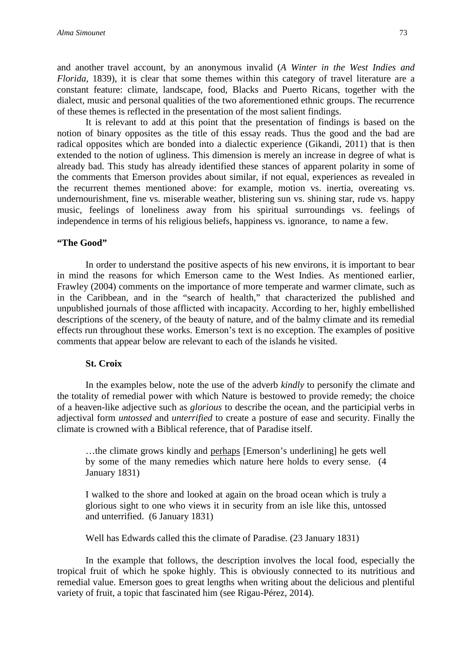and another travel account, by an anonymous invalid (*A Winter in the West Indies and Florida,* 1839), it is clear that some themes within this category of travel literature are a constant feature: climate, landscape, food, Blacks and Puerto Ricans, together with the dialect, music and personal qualities of the two aforementioned ethnic groups. The recurrence of these themes is reflected in the presentation of the most salient findings.

It is relevant to add at this point that the presentation of findings is based on the notion of binary opposites as the title of this essay reads. Thus the good and the bad are radical opposites which are bonded into a dialectic experience (Gikandi, 2011) that is then extended to the notion of ugliness. This dimension is merely an increase in degree of what is already bad. This study has already identified these stances of apparent polarity in some of the comments that Emerson provides about similar, if not equal, experiences as revealed in the recurrent themes mentioned above: for example, motion vs. inertia, overeating vs. undernourishment, fine vs. miserable weather, blistering sun vs. shining star, rude vs. happy music, feelings of loneliness away from his spiritual surroundings vs. feelings of independence in terms of his religious beliefs, happiness vs. ignorance, to name a few.

# **"The Good"**

In order to understand the positive aspects of his new environs, it is important to bear in mind the reasons for which Emerson came to the West Indies. As mentioned earlier, Frawley (2004) comments on the importance of more temperate and warmer climate, such as in the Caribbean, and in the "search of health," that characterized the published and unpublished journals of those afflicted with incapacity. According to her, highly embellished descriptions of the scenery, of the beauty of nature, and of the balmy climate and its remedial effects run throughout these works. Emerson's text is no exception. The examples of positive comments that appear below are relevant to each of the islands he visited.

#### **St. Croix**

In the examples below, note the use of the adverb *kindly* to personify the climate and the totality of remedial power with which Nature is bestowed to provide remedy; the choice of a heaven-like adjective such as *glorious* to describe the ocean, and the participial verbs in adjectival form *untossed* and *unterrified* to create a posture of ease and security. Finally the climate is crowned with a Biblical reference, that of Paradise itself.

…the climate grows kindly and perhaps [Emerson's underlining] he gets well by some of the many remedies which nature here holds to every sense. (4 January 1831)

I walked to the shore and looked at again on the broad ocean which is truly a glorious sight to one who views it in security from an isle like this, untossed and unterrified. (6 January 1831)

Well has Edwards called this the climate of Paradise. (23 January 1831)

In the example that follows, the description involves the local food, especially the tropical fruit of which he spoke highly. This is obviously connected to its nutritious and remedial value. Emerson goes to great lengths when writing about the delicious and plentiful variety of fruit, a topic that fascinated him (see Rigau-Pérez, 2014).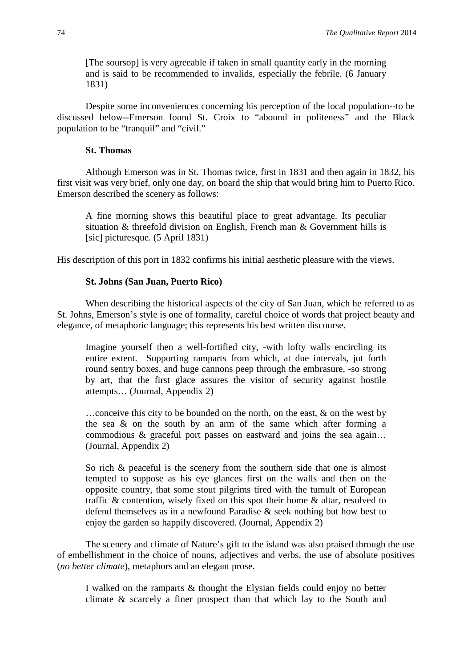[The soursop] is very agreeable if taken in small quantity early in the morning and is said to be recommended to invalids, especially the febrile. (6 January 1831)

Despite some inconveniences concerning his perception of the local population--to be discussed below--Emerson found St. Croix to "abound in politeness" and the Black population to be "tranquil" and "civil."

#### **St. Thomas**

Although Emerson was in St. Thomas twice, first in 1831 and then again in 1832, his first visit was very brief, only one day, on board the ship that would bring him to Puerto Rico. Emerson described the scenery as follows:

A fine morning shows this beautiful place to great advantage. Its peculiar situation & threefold division on English, French man & Government hills is [sic] picturesque. (5 April 1831)

His description of this port in 1832 confirms his initial aesthetic pleasure with the views.

### **St. Johns (San Juan, Puerto Rico)**

When describing the historical aspects of the city of San Juan, which he referred to as St. Johns, Emerson's style is one of formality, careful choice of words that project beauty and elegance, of metaphoric language; this represents his best written discourse.

Imagine yourself then a well-fortified city, -with lofty walls encircling its entire extent. Supporting ramparts from which, at due intervals, jut forth round sentry boxes, and huge cannons peep through the embrasure, -so strong by art, that the first glace assures the visitor of security against hostile attempts… (Journal, Appendix 2)

…conceive this city to be bounded on the north, on the east, & on the west by the sea & on the south by an arm of the same which after forming a commodious & graceful port passes on eastward and joins the sea again… (Journal, Appendix 2)

So rich & peaceful is the scenery from the southern side that one is almost tempted to suppose as his eye glances first on the walls and then on the opposite country, that some stout pilgrims tired with the tumult of European traffic & contention, wisely fixed on this spot their home & altar, resolved to defend themselves as in a newfound Paradise & seek nothing but how best to enjoy the garden so happily discovered. (Journal, Appendix 2)

The scenery and climate of Nature's gift to the island was also praised through the use of embellishment in the choice of nouns, adjectives and verbs, the use of absolute positives (*no better climate*), metaphors and an elegant prose.

I walked on the ramparts & thought the Elysian fields could enjoy no better climate & scarcely a finer prospect than that which lay to the South and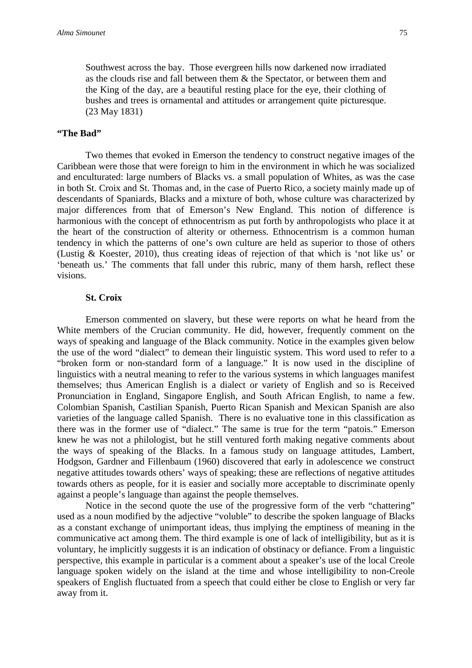Southwest across the bay. Those evergreen hills now darkened now irradiated as the clouds rise and fall between them & the Spectator, or between them and the King of the day, are a beautiful resting place for the eye, their clothing of bushes and trees is ornamental and attitudes or arrangement quite picturesque. (23 May 1831)

#### **"The Bad"**

Two themes that evoked in Emerson the tendency to construct negative images of the Caribbean were those that were foreign to him in the environment in which he was socialized and enculturated: large numbers of Blacks vs. a small population of Whites, as was the case in both St. Croix and St. Thomas and, in the case of Puerto Rico, a society mainly made up of descendants of Spaniards, Blacks and a mixture of both, whose culture was characterized by major differences from that of Emerson's New England. This notion of difference is harmonious with the concept of ethnocentrism as put forth by anthropologists who place it at the heart of the construction of alterity or otherness. Ethnocentrism is a common human tendency in which the patterns of one's own culture are held as superior to those of others (Lustig & Koester, 2010), thus creating ideas of rejection of that which is 'not like us' or 'beneath us.' The comments that fall under this rubric, many of them harsh, reflect these visions.

#### **St. Croix**

Emerson commented on slavery, but these were reports on what he heard from the White members of the Crucian community. He did, however, frequently comment on the ways of speaking and language of the Black community. Notice in the examples given below the use of the word "dialect" to demean their linguistic system. This word used to refer to a "broken form or non-standard form of a language." It is now used in the discipline of linguistics with a neutral meaning to refer to the various systems in which languages manifest themselves; thus American English is a dialect or variety of English and so is Received Pronunciation in England, Singapore English, and South African English, to name a few. Colombian Spanish, Castilian Spanish, Puerto Rican Spanish and Mexican Spanish are also varieties of the language called Spanish. There is no evaluative tone in this classification as there was in the former use of "dialect." The same is true for the term "patois." Emerson knew he was not a philologist, but he still ventured forth making negative comments about the ways of speaking of the Blacks. In a famous study on language attitudes, Lambert, Hodgson, Gardner and Fillenbaum (1960) discovered that early in adolescence we construct negative attitudes towards others' ways of speaking; these are reflections of negative attitudes towards others as people, for it is easier and socially more acceptable to discriminate openly against a people's language than against the people themselves.

Notice in the second quote the use of the progressive form of the verb "chattering" used as a noun modified by the adjective "voluble" to describe the spoken language of Blacks as a constant exchange of unimportant ideas, thus implying the emptiness of meaning in the communicative act among them. The third example is one of lack of intelligibility, but as it is voluntary, he implicitly suggests it is an indication of obstinacy or defiance. From a linguistic perspective, this example in particular is a comment about a speaker's use of the local Creole language spoken widely on the island at the time and whose intelligibility to non-Creole speakers of English fluctuated from a speech that could either be close to English or very far away from it.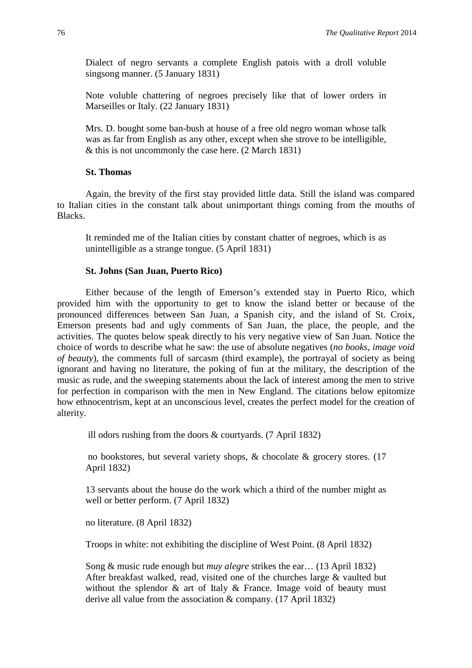Dialect of negro servants a complete English patois with a droll voluble singsong manner. (5 January 1831)

Note voluble chattering of negroes precisely like that of lower orders in Marseilles or Italy. (22 January 1831)

Mrs. D. bought some ban-bush at house of a free old negro woman whose talk was as far from English as any other, except when she strove to be intelligible, & this is not uncommonly the case here. (2 March 1831)

### **St. Thomas**

Again, the brevity of the first stay provided little data. Still the island was compared to Italian cities in the constant talk about unimportant things coming from the mouths of Blacks.

It reminded me of the Italian cities by constant chatter of negroes, which is as unintelligible as a strange tongue. (5 April 1831)

#### **St. Johns (San Juan, Puerto Rico)**

Either because of the length of Emerson's extended stay in Puerto Rico, which provided him with the opportunity to get to know the island better or because of the pronounced differences between San Juan, a Spanish city, and the island of St. Croix, Emerson presents bad and ugly comments of San Juan, the place, the people, and the activities. The quotes below speak directly to his very negative view of San Juan. Notice the choice of words to describe what he saw: the use of absolute negatives (*no books*, *image void of beauty*), the comments full of sarcasm (third example), the portrayal of society as being ignorant and having no literature, the poking of fun at the military, the description of the music as rude, and the sweeping statements about the lack of interest among the men to strive for perfection in comparison with the men in New England. The citations below epitomize how ethnocentrism, kept at an unconscious level, creates the perfect model for the creation of alterity.

ill odors rushing from the doors & courtyards. (7 April 1832)

no bookstores, but several variety shops, & chocolate & grocery stores. (17 April 1832)

13 servants about the house do the work which a third of the number might as well or better perform. (7 April 1832)

no literature. (8 April 1832)

Troops in white: not exhibiting the discipline of West Point. (8 April 1832)

Song & music rude enough but *muy alegre* strikes the ear… (13 April 1832) After breakfast walked, read, visited one of the churches large & vaulted but without the splendor & art of Italy & France. Image void of beauty must derive all value from the association & company. (17 April 1832)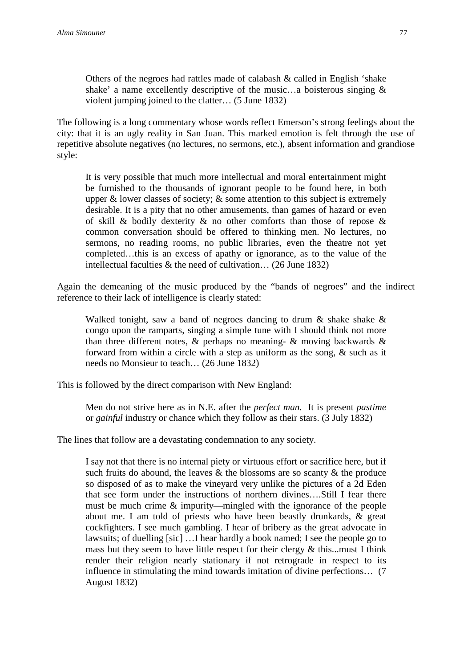Others of the negroes had rattles made of calabash & called in English 'shake shake' a name excellently descriptive of the music…a boisterous singing & violent jumping joined to the clatter… (5 June 1832)

The following is a long commentary whose words reflect Emerson's strong feelings about the city: that it is an ugly reality in San Juan. This marked emotion is felt through the use of repetitive absolute negatives (no lectures, no sermons, etc.), absent information and grandiose style:

It is very possible that much more intellectual and moral entertainment might be furnished to the thousands of ignorant people to be found here, in both upper  $\&$  lower classes of society;  $\&$  some attention to this subject is extremely desirable. It is a pity that no other amusements, than games of hazard or even of skill & bodily dexterity & no other comforts than those of repose & common conversation should be offered to thinking men. No lectures, no sermons, no reading rooms, no public libraries, even the theatre not yet completed…this is an excess of apathy or ignorance, as to the value of the intellectual faculties & the need of cultivation… (26 June 1832)

Again the demeaning of the music produced by the "bands of negroes" and the indirect reference to their lack of intelligence is clearly stated:

Walked tonight, saw a band of negroes dancing to drum & shake shake & congo upon the ramparts, singing a simple tune with I should think not more than three different notes,  $\&$  perhaps no meaning-  $\&$  moving backwards  $\&$ forward from within a circle with a step as uniform as the song, & such as it needs no Monsieur to teach… (26 June 1832)

This is followed by the direct comparison with New England:

Men do not strive here as in N.E. after the *perfect man.* It is present *pastime* or *gainful* industry or chance which they follow as their stars. (3 July 1832)

The lines that follow are a devastating condemnation to any society.

I say not that there is no internal piety or virtuous effort or sacrifice here, but if such fruits do abound, the leaves  $\&$  the blossoms are so scanty  $\&$  the produce so disposed of as to make the vineyard very unlike the pictures of a 2d Eden that see form under the instructions of northern divines….Still I fear there must be much crime & impurity—mingled with the ignorance of the people about me. I am told of priests who have been beastly drunkards, & great cockfighters. I see much gambling. I hear of bribery as the great advocate in lawsuits; of duelling [sic] …I hear hardly a book named; I see the people go to mass but they seem to have little respect for their clergy & this...must I think render their religion nearly stationary if not retrograde in respect to its influence in stimulating the mind towards imitation of divine perfections… (7 August 1832)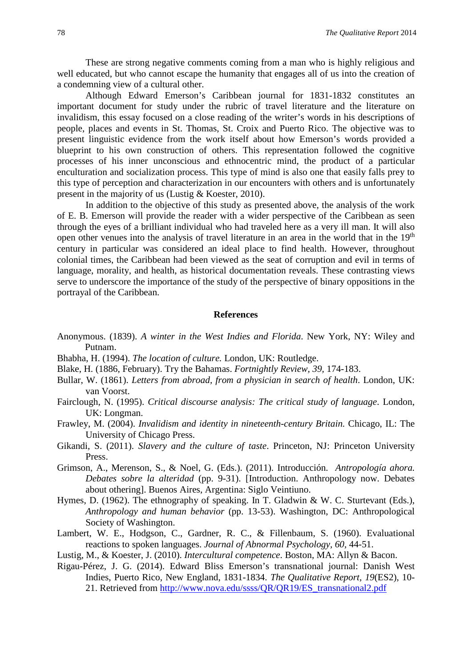These are strong negative comments coming from a man who is highly religious and well educated, but who cannot escape the humanity that engages all of us into the creation of a condemning view of a cultural other.

Although Edward Emerson's Caribbean journal for 1831-1832 constitutes an important document for study under the rubric of travel literature and the literature on invalidism, this essay focused on a close reading of the writer's words in his descriptions of people, places and events in St. Thomas, St. Croix and Puerto Rico. The objective was to present linguistic evidence from the work itself about how Emerson's words provided a blueprint to his own construction of others. This representation followed the cognitive processes of his inner unconscious and ethnocentric mind, the product of a particular enculturation and socialization process. This type of mind is also one that easily falls prey to this type of perception and characterization in our encounters with others and is unfortunately present in the majority of us (Lustig & Koester, 2010).

In addition to the objective of this study as presented above, the analysis of the work of E. B. Emerson will provide the reader with a wider perspective of the Caribbean as seen through the eyes of a brilliant individual who had traveled here as a very ill man. It will also open other venues into the analysis of travel literature in an area in the world that in the 19<sup>th</sup> century in particular was considered an ideal place to find health. However, throughout colonial times, the Caribbean had been viewed as the seat of corruption and evil in terms of language, morality, and health, as historical documentation reveals. These contrasting views serve to underscore the importance of the study of the perspective of binary oppositions in the portrayal of the Caribbean.

#### **References**

- Anonymous. (1839). *A winter in the West Indies and Florida*. New York, NY: Wiley and Putnam.
- Bhabha, H. (1994). *The location of culture.* London, UK: Routledge.
- Blake, H. (1886, February). Try the Bahamas. *Fortnightly Review, 39,* 174-183.
- Bullar, W. (1861). *Letters from abroad, from a physician in search of health*. London, UK: van Voorst.
- Fairclough, N. (1995). *Critical discourse analysis: The critical study of language*. London, UK: Longman.
- Frawley, M. (2004). *Invalidism and identity in nineteenth-century Britain.* Chicago, IL: The University of Chicago Press.
- Gikandi, S. (2011). *Slavery and the culture of taste*. Princeton, NJ: Princeton University Press.
- Grimson, A., Merenson, S., & Noel, G. (Eds.). (2011). Introducción. *Antropología ahora. Debates sobre la alteridad* (pp. 9-31). [Introduction. Anthropology now. Debates about othering]. Buenos Aires, Argentina: Siglo Veintiuno.
- Hymes, D. (1962). The ethnography of speaking. In T. Gladwin & W. C. Sturtevant (Eds.), *Anthropology and human behavior* (pp. 13-53). Washington, DC: Anthropological Society of Washington.
- Lambert, W. E., Hodgson, C., Gardner, R. C., & Fillenbaum, S. (1960). Evaluational reactions to spoken languages. *Journal of Abnormal Psychology, 60,* 44-51.
- Lustig, M., & Koester, J. (2010). *Intercultural competence*. Boston, MA: Allyn & Bacon.
- Rigau-Pérez, J. G. (2014). Edward Bliss Emerson's transnational journal: Danish West Indies, Puerto Rico, New England, 1831-1834. *The Qualitative Report, 19*(ES2), 10 21. Retrieved from [http://www.nova.edu/ssss/QR/QR19/ES\\_transnational2.pdf](http://www.nova.edu/ssss/QR/QR19/ES_transnational2.pdf)